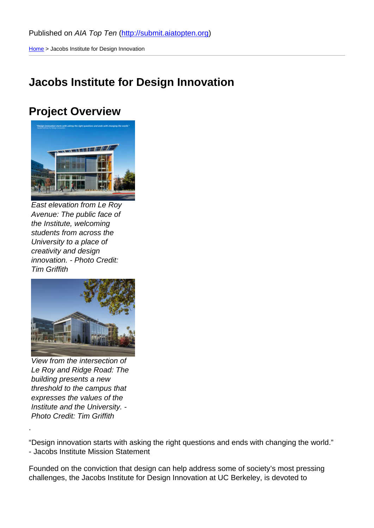Home > Jacobs Institute for Design Innovation

### [Jac](http://submit.aiatopten.org/)obs Institute for Design Innovation

#### Project Overview

East elevation from Le Roy Avenue: The public face of the Institute, welcoming students from across the University to a place of creativity and design innovation. - Photo Credit: Tim Griffith

View from the intersection of Le Roy and Ridge Road: The building presents a new threshold to the campus that expresses the values of the Institute and the University. - Photo Credit: Tim Griffith

.

"Design innovation starts with asking the right questions and ends with changing the world." - Jacobs Institute Mission Statement

Founded on the conviction that design can help address some of society's most pressing challenges, the Jacobs Institute for Design Innovation at UC Berkeley, is devoted to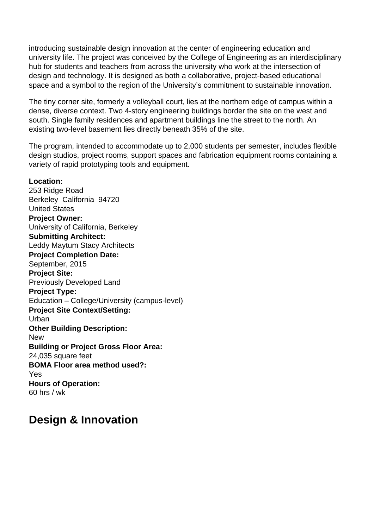introducing sustainable design innovation at the center of engineering education and university life. The project was conceived by the College of Engineering as an interdisciplinary hub for students and teachers from across the university who work at the intersection of design and technology. It is designed as both a collaborative, project-based educational space and a symbol to the region of the University's commitment to sustainable innovation.

The tiny corner site, formerly a volleyball court, lies at the northern edge of campus within a dense, diverse context. Two 4-story engineering buildings border the site on the west and south. Single family residences and apartment buildings line the street to the north. An existing two-level basement lies directly beneath 35% of the site.

The program, intended to accommodate up to 2,000 students per semester, includes flexible design studios, project rooms, support spaces and fabrication equipment rooms containing a variety of rapid prototyping tools and equipment.

#### **Location:**

253 Ridge Road Berkeley California 94720 United States **Project Owner:**  University of California, Berkeley **Submitting Architect:**  Leddy Maytum Stacy Architects **Project Completion Date:**  September, 2015 **Project Site:**  Previously Developed Land **Project Type:**  Education – College/University (campus-level) **Project Site Context/Setting:**  Urban **Other Building Description: New Building or Project Gross Floor Area:**  24,035 square feet **BOMA Floor area method used?:**  Yes **Hours of Operation:**  60 hrs / wk

#### **Design & Innovation**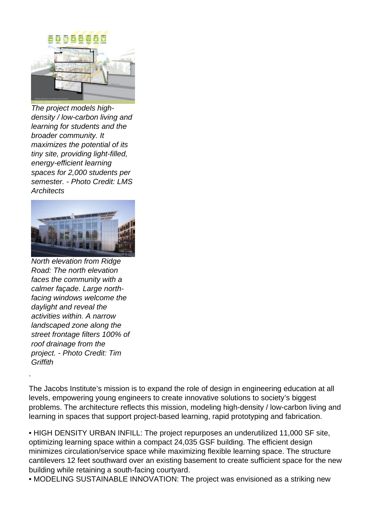

The project models highdensity / low-carbon living and learning for students and the broader community. It maximizes the potential of its tiny site, providing light-filled, energy-efficient learning spaces for 2,000 students per semester. - Photo Credit: LMS **Architects** 



North elevation from Ridge Road: The north elevation faces the community with a calmer façade. Large northfacing windows welcome the daylight and reveal the activities within. A narrow landscaped zone along the street frontage filters 100% of roof drainage from the project. - Photo Credit: Tim **Griffith** 

.

The Jacobs Institute's mission is to expand the role of design in engineering education at all levels, empowering young engineers to create innovative solutions to society's biggest problems. The architecture reflects this mission, modeling high-density / low-carbon living and learning in spaces that support project-based learning, rapid prototyping and fabrication.

• HIGH DENSITY URBAN INFILL: The project repurposes an underutilized 11,000 SF site, optimizing learning space within a compact 24,035 GSF building. The efficient design minimizes circulation/service space while maximizing flexible learning space. The structure cantilevers 12 feet southward over an existing basement to create sufficient space for the new building while retaining a south-facing courtyard.

• MODELING SUSTAINABLE INNOVATION: The project was envisioned as a striking new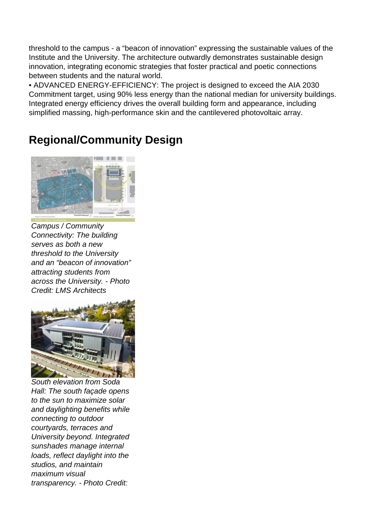threshold to the campus - a "beacon of innovation" expressing the sustainable values of the Institute and the University. The architecture outwardly demonstrates sustainable design innovation, integrating economic strategies that foster practical and poetic connections between students and the natural world.

• ADVANCED ENERGY-EFFICIENCY: The project is designed to exceed the AIA 2030 Commitment target, using 90% less energy than the national median for university buildings. Integrated energy efficiency drives the overall building form and appearance, including simplified massing, high-performance skin and the cantilevered photovoltaic array.

## **Regional/Community Design**



Campus / Community Connectivity: The building serves as both a new threshold to the University and an "beacon of innovation" attracting students from across the University. - Photo Credit: LMS Architects



South elevation from Soda Hall: The south façade opens to the sun to maximize solar and daylighting benefits while connecting to outdoor courtyards, terraces and University beyond. Integrated sunshades manage internal loads, reflect daylight into the studios, and maintain maximum visual transparency. - Photo Credit: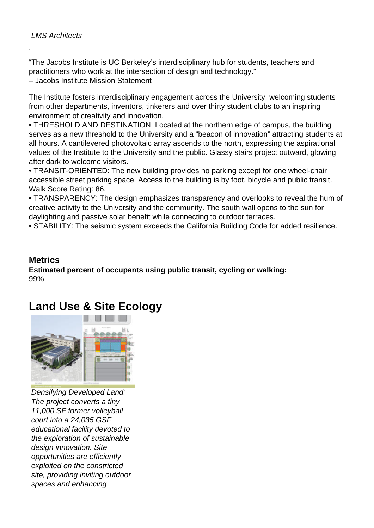.

"The Jacobs Institute is UC Berkeley's interdisciplinary hub for students, teachers and practitioners who work at the intersection of design and technology."

– Jacobs Institute Mission Statement

The Institute fosters interdisciplinary engagement across the University, welcoming students from other departments, inventors, tinkerers and over thirty student clubs to an inspiring environment of creativity and innovation.

• THRESHOLD AND DESTINATION: Located at the northern edge of campus, the building serves as a new threshold to the University and a "beacon of innovation" attracting students at all hours. A cantilevered photovoltaic array ascends to the north, expressing the aspirational values of the Institute to the University and the public. Glassy stairs project outward, glowing after dark to welcome visitors.

• TRANSIT-ORIENTED: The new building provides no parking except for one wheel-chair accessible street parking space. Access to the building is by foot, bicycle and public transit. Walk Score Rating: 86.

• TRANSPARENCY: The design emphasizes transparency and overlooks to reveal the hum of creative activity to the University and the community. The south wall opens to the sun for daylighting and passive solar benefit while connecting to outdoor terraces.

• STABILITY: The seismic system exceeds the California Building Code for added resilience.

#### **Metrics**

**Estimated percent of occupants using public transit, cycling or walking:**  99%

## **Land Use & Site Ecology**



Densifying Developed Land: The project converts a tiny 11,000 SF former volleyball court into a 24,035 GSF educational facility devoted to the exploration of sustainable design innovation. Site opportunities are efficiently exploited on the constricted site, providing inviting outdoor spaces and enhancing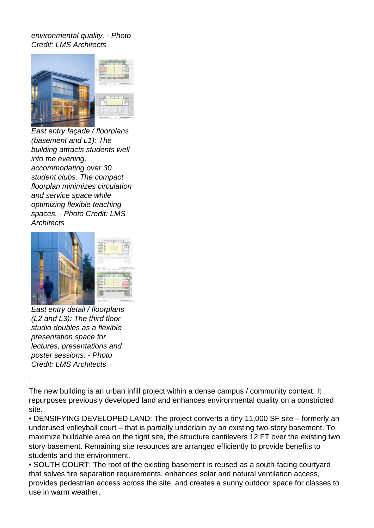environmental quality. - Photo Credit: LMS Architects



East entry façade / floorplans (basement and L1): The building attracts students well into the evening, accommodating over 30 student clubs. The compact floorplan minimizes circulation and service space while optimizing flexible teaching spaces. - Photo Credit: LMS **Architects** 



East entry detail / floorplans (L2 and L3): The third floor studio doubles as a flexible presentation space for lectures, presentations and poster sessions. - Photo Credit: LMS Architects

.

The new building is an urban infill project within a dense campus / community context. It repurposes previously developed land and enhances environmental quality on a constricted site.

• DENSIFYING DEVELOPED LAND: The project converts a tiny 11,000 SF site – formerly an underused volleyball court – that is partially underlain by an existing two-story basement. To maximize buildable area on the tight site, the structure cantilevers 12 FT over the existing two story basement. Remaining site resources are arranged efficiently to provide benefits to students and the environment.

• SOUTH COURT: The roof of the existing basement is reused as a south-facing courtyard that solves fire separation requirements, enhances solar and natural ventilation access, provides pedestrian access across the site, and creates a sunny outdoor space for classes to use in warm weather.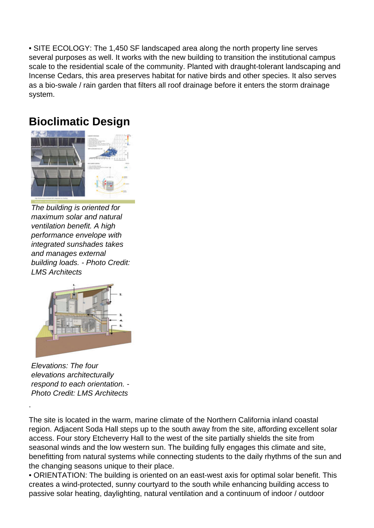• SITE ECOLOGY: The 1,450 SF landscaped area along the north property line serves several purposes as well. It works with the new building to transition the institutional campus scale to the residential scale of the community. Planted with draught-tolerant landscaping and Incense Cedars, this area preserves habitat for native birds and other species. It also serves as a bio-swale / rain garden that filters all roof drainage before it enters the storm drainage system.





The building is oriented for maximum solar and natural ventilation benefit. A high performance envelope with integrated sunshades takes and manages external building loads. - Photo Credit: LMS Architects



Elevations: The four elevations architecturally respond to each orientation. - Photo Credit: LMS Architects

.

The site is located in the warm, marine climate of the Northern California inland coastal region. Adjacent Soda Hall steps up to the south away from the site, affording excellent solar access. Four story Etcheverry Hall to the west of the site partially shields the site from seasonal winds and the low western sun. The building fully engages this climate and site, benefitting from natural systems while connecting students to the daily rhythms of the sun and the changing seasons unique to their place.

• ORIENTATION: The building is oriented on an east-west axis for optimal solar benefit. This creates a wind-protected, sunny courtyard to the south while enhancing building access to passive solar heating, daylighting, natural ventilation and a continuum of indoor / outdoor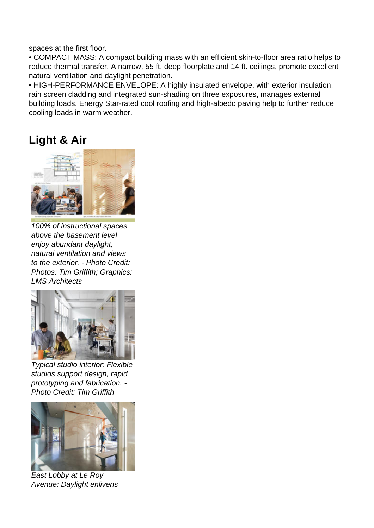spaces at the first floor.

• COMPACT MASS: A compact building mass with an efficient skin-to-floor area ratio helps to reduce thermal transfer. A narrow, 55 ft. deep floorplate and 14 ft. ceilings, promote excellent natural ventilation and daylight penetration.

• HIGH-PERFORMANCE ENVELOPE: A highly insulated envelope, with exterior insulation, rain screen cladding and integrated sun-shading on three exposures, manages external building loads. Energy Star-rated cool roofing and high-albedo paving help to further reduce cooling loads in warm weather.

#### **Light & Air**



100% of instructional spaces above the basement level enjoy abundant daylight, natural ventilation and views to the exterior. - Photo Credit: Photos: Tim Griffith; Graphics: LMS Architects



Typical studio interior: Flexible studios support design, rapid prototyping and fabrication. - Photo Credit: Tim Griffith



East Lobby at Le Roy Avenue: Daylight enlivens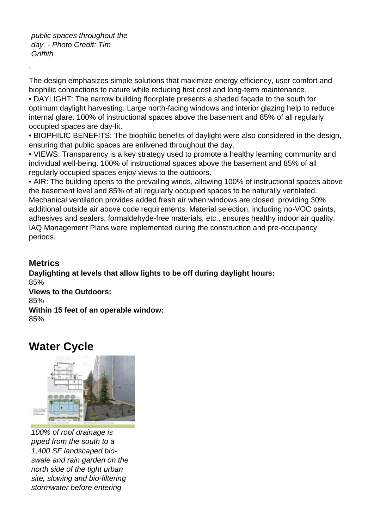public spaces throughout the day. - Photo Credit: Tim **Griffith** 

The design emphasizes simple solutions that maximize energy efficiency, user comfort and biophilic connections to nature while reducing first cost and long-term maintenance.

• DAYLIGHT: The narrow building floorplate presents a shaded façade to the south for optimum daylight harvesting. Large north-facing windows and interior glazing help to reduce internal glare. 100% of instructional spaces above the basement and 85% of all regularly occupied spaces are day-lit.

• BIOPHILIC BENEFITS: The biophilic benefits of daylight were also considered in the design, ensuring that public spaces are enlivened throughout the day.

• VIEWS: Transparency is a key strategy used to promote a healthy learning community and individual well-being. 100% of instructional spaces above the basement and 85% of all regularly occupied spaces enjoy views to the outdoors.

• AIR: The building opens to the prevailing winds, allowing 100% of instructional spaces above the basement level and 85% of all regularly occupied spaces to be naturally ventilated. Mechanical ventilation provides added fresh air when windows are closed, providing 30% additional outside air above code requirements. Material selection, including no-VOC paints, adhesives and sealers, formaldehyde-free materials, etc., ensures healthy indoor air quality. IAQ Management Plans were implemented during the construction and pre-occupancy periods.

#### **Metrics**

.

**Daylighting at levels that allow lights to be off during daylight hours:**  85% **Views to the Outdoors:**  85% **Within 15 feet of an operable window:**  85%

#### **Water Cycle**



100% of roof drainage is piped from the south to a 1,400 SF landscaped bioswale and rain garden on the north side of the tight urban site, slowing and bio-filtering stormwater before entering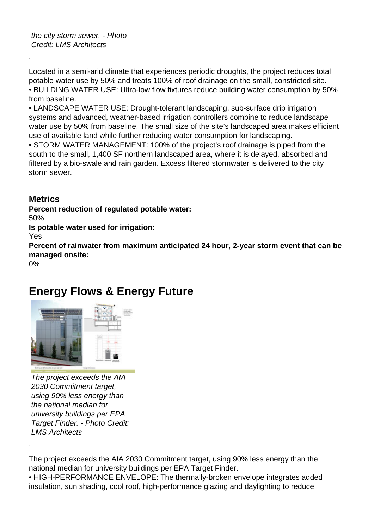the city storm sewer. - Photo Credit: LMS Architects

Located in a semi-arid climate that experiences periodic droughts, the project reduces total potable water use by 50% and treats 100% of roof drainage on the small, constricted site. • BUILDING WATER USE: Ultra-low flow fixtures reduce building water consumption by 50% from baseline.

• LANDSCAPE WATER USE: Drought-tolerant landscaping, sub-surface drip irrigation systems and advanced, weather-based irrigation controllers combine to reduce landscape water use by 50% from baseline. The small size of the site's landscaped area makes efficient use of available land while further reducing water consumption for landscaping.

• STORM WATER MANAGEMENT: 100% of the project's roof drainage is piped from the south to the small, 1,400 SF northern landscaped area, where it is delayed, absorbed and filtered by a bio-swale and rain garden. Excess filtered stormwater is delivered to the city storm sewer.

#### **Metrics**

**Percent reduction of regulated potable water:** 

50%

.

**Is potable water used for irrigation:** 

Yes

**Percent of rainwater from maximum anticipated 24 hour, 2-year storm event that can be managed onsite:** 

0%

.

### **Energy Flows & Energy Future**



The project exceeds the AIA 2030 Commitment target, using 90% less energy than the national median for university buildings per EPA Target Finder. - Photo Credit: LMS Architects

The project exceeds the AIA 2030 Commitment target, using 90% less energy than the national median for university buildings per EPA Target Finder.

• HIGH-PERFORMANCE ENVELOPE: The thermally-broken envelope integrates added insulation, sun shading, cool roof, high-performance glazing and daylighting to reduce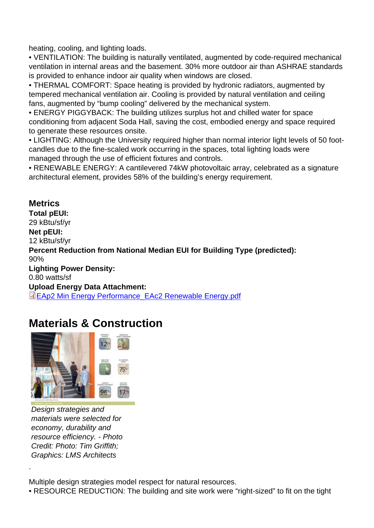heating, cooling, and lighting loads.

• VENTILATION: The building is naturally ventilated, augmented by code-required mechanical ventilation in internal areas and the basement. 30% more outdoor air than ASHRAE standards is provided to enhance indoor air quality when windows are closed.

• THERMAL COMFORT: Space heating is provided by hydronic radiators, augmented by tempered mechanical ventilation air. Cooling is provided by natural ventilation and ceiling fans, augmented by "bump cooling" delivered by the mechanical system.

• ENERGY PIGGYBACK: The building utilizes surplus hot and chilled water for space conditioning from adjacent Soda Hall, saving the cost, embodied energy and space required to generate these resources onsite.

• LIGHTING: Although the University required higher than normal interior light levels of 50 footcandles due to the fine-scaled work occurring in the spaces, total lighting loads were managed through the use of efficient fixtures and controls.

• RENEWABLE ENERGY: A cantilevered 74kW photovoltaic array, celebrated as a signature architectural element, provides 58% of the building's energy requirement.

**Metrics** Total pEUI: 29 kBtu/sf/yr Net pEUI: 12 kBtu/sf/yr Percent Reduction from National Median EUI for Building Type (predicted): 90% Lighting Power Density: 0.80 watts/sf Upload Energy Data Attachment: EAp2 Min Energy Performance\_EAc2 Renewable Energy.pdf

### [Materials & Construction](http://submit.aiatopten.org/sites/default/files/EAp2 Min Energy Performance_EAc2 Renewable Energy.pdf)

Design strategies and materials were selected for economy, durability and resource efficiency. - Photo Credit: Photo: Tim Griffith; Graphics: LMS Architects

.

Multiple design strategies model respect for natural resources.

• RESOURCE REDUCTION: The building and site work were "right-sized" to fit on the tight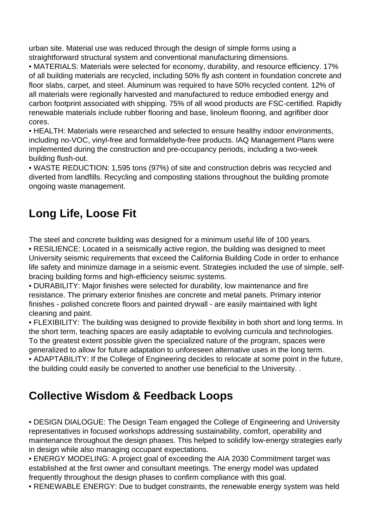urban site. Material use was reduced through the design of simple forms using a straightforward structural system and conventional manufacturing dimensions.

• MATERIALS: Materials were selected for economy, durability, and resource efficiency. 17% of all building materials are recycled, including 50% fly ash content in foundation concrete and floor slabs, carpet, and steel. Aluminum was required to have 50% recycled content. 12% of all materials were regionally harvested and manufactured to reduce embodied energy and carbon footprint associated with shipping. 75% of all wood products are FSC-certified. Rapidly renewable materials include rubber flooring and base, linoleum flooring, and agrifiber door cores.

• HEALTH: Materials were researched and selected to ensure healthy indoor environments, including no-VOC, vinyl-free and formaldehyde-free products. IAQ Management Plans were implemented during the construction and pre-occupancy periods, including a two-week building flush-out.

• WASTE REDUCTION: 1,595 tons (97%) of site and construction debris was recycled and diverted from landfills. Recycling and composting stations throughout the building promote ongoing waste management.

### **Long Life, Loose Fit**

The steel and concrete building was designed for a minimum useful life of 100 years.

• RESILIENCE: Located in a seismically active region, the building was designed to meet University seismic requirements that exceed the California Building Code in order to enhance life safety and minimize damage in a seismic event. Strategies included the use of simple, selfbracing building forms and high-efficiency seismic systems.

• DURABILITY: Major finishes were selected for durability, low maintenance and fire resistance. The primary exterior finishes are concrete and metal panels. Primary interior finishes - polished concrete floors and painted drywall - are easily maintained with light cleaning and paint.

• FLEXIBILITY: The building was designed to provide flexibility in both short and long terms. In the short term, teaching spaces are easily adaptable to evolving curricula and technologies. To the greatest extent possible given the specialized nature of the program, spaces were generalized to allow for future adaptation to unforeseen alternative uses in the long term. • ADAPTABILITY: If the College of Engineering decides to relocate at some point in the future, the building could easily be converted to another use beneficial to the University. .

## **Collective Wisdom & Feedback Loops**

• DESIGN DIALOGUE: The Design Team engaged the College of Engineering and University representatives in focused workshops addressing sustainability, comfort, operability and maintenance throughout the design phases. This helped to solidify low-energy strategies early in design while also managing occupant expectations.

• ENERGY MODELING: A project goal of exceeding the AIA 2030 Commitment target was established at the first owner and consultant meetings. The energy model was updated frequently throughout the design phases to confirm compliance with this goal.

• RENEWABLE ENERGY: Due to budget constraints, the renewable energy system was held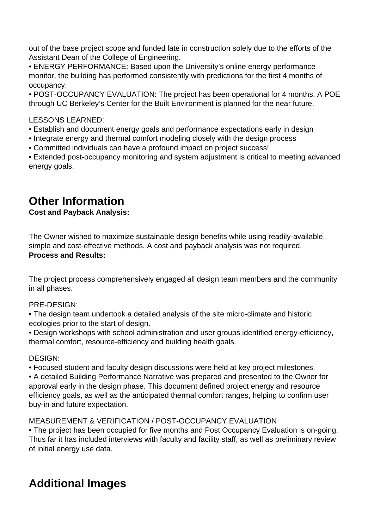out of the base project scope and funded late in construction solely due to the efforts of the Assistant Dean of the College of Engineering.

• ENERGY PERFORMANCE: Based upon the University's online energy performance monitor, the building has performed consistently with predictions for the first 4 months of occupancy.

• POST-OCCUPANCY EVALUATION: The project has been operational for 4 months. A POE through UC Berkeley's Center for the Built Environment is planned for the near future.

#### LESSONS LEARNED:

- Establish and document energy goals and performance expectations early in design
- Integrate energy and thermal comfort modeling closely with the design process
- Committed individuals can have a profound impact on project success!

• Extended post-occupancy monitoring and system adjustment is critical to meeting advanced energy goals.

### **Other Information**

#### **Cost and Payback Analysis:**

The Owner wished to maximize sustainable design benefits while using readily-available, simple and cost-effective methods. A cost and payback analysis was not required. **Process and Results:** 

The project process comprehensively engaged all design team members and the community in all phases.

#### PRE-DESIGN:

• The design team undertook a detailed analysis of the site micro-climate and historic ecologies prior to the start of design.

• Design workshops with school administration and user groups identified energy-efficiency, thermal comfort, resource-efficiency and building health goals.

#### DESIGN:

• Focused student and faculty design discussions were held at key project milestones.

• A detailed Building Performance Narrative was prepared and presented to the Owner for approval early in the design phase. This document defined project energy and resource efficiency goals, as well as the anticipated thermal comfort ranges, helping to confirm user buy-in and future expectation.

#### MEASUREMENT & VERIFICATION / POST-OCCUPANCY EVALUATION

• The project has been occupied for five months and Post Occupancy Evaluation is on-going. Thus far it has included interviews with faculty and facility staff, as well as preliminary review of initial energy use data.

### **Additional Images**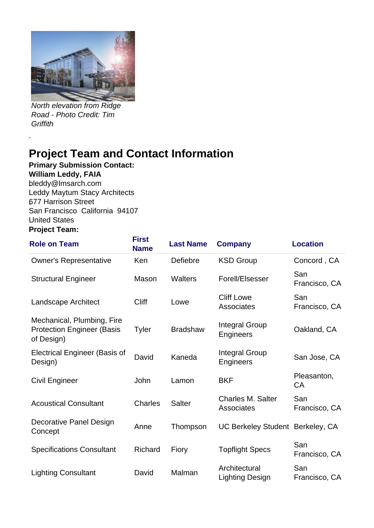

North elevation from Ridge Road - Photo Credit: Tim **Griffith** 

# **Project Team and Contact Information**

**Primary Submission Contact:** 

**William Leddy, FAIA**

.

**.**bleddy@lmsarch.com .Leddy Maytum Stacy Architects **.**677 Harrison Street San Francisco California 94107 .United States **Project Team:** 

#### **Role on Team First Name Last Name Company Location** Owner's Representative Ken Defiebre KSD Group Concord , CA Structural Engineer Mason Walters Forell/Elsesser San Francisco, CA Landscape Architect **Cliff Lowe** Cliff Lowe Cliff Lowe **Associates** San Francisco, CA Mechanical, Plumbing, Fire Protection Engineer (Basis of Design) Tyler Bradshaw Integral Group<br>Engineers Oakland, CA Electrical Engineer (Basis of Integral Group Libertical Engineers)<br>Design) Besign Integral Group<br>Engineers San Jose, CA Civil Engineer **Solution State Lamon** BKF Pleasanton, **CA** Acoustical Consultant Charles Salter Charles M. Salter **Associates** San Francisco, CA Decorative Panel Design Decorative Farier Design Manne Thompson UC Berkeley Student Berkeley, CA Concept Specifications Consultant Richard Fiory Topflight Specs San Francisco, CA Lighting Consultant David Malman Architectural Lighting Design San Francisco, CA